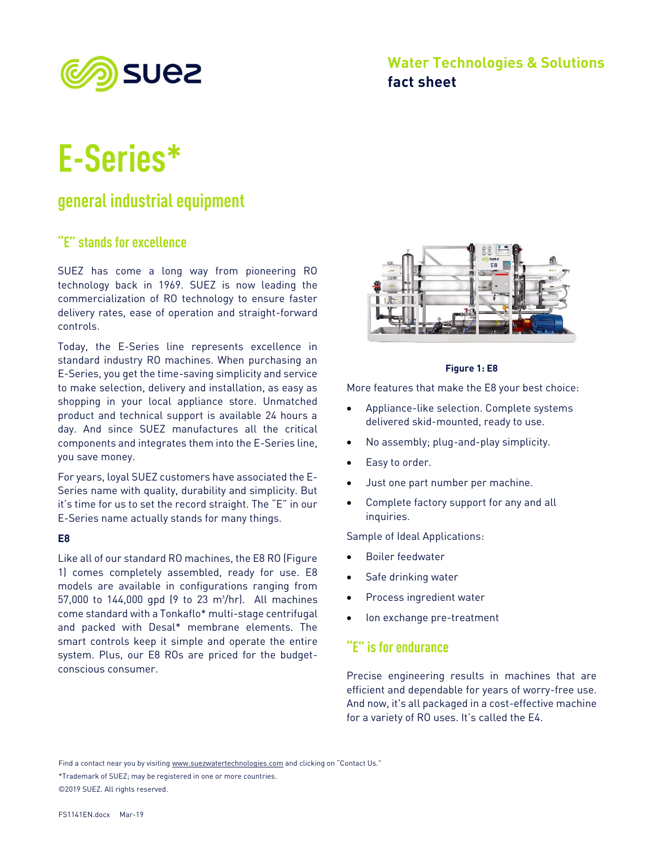

# **Water Technologies & Solutions fact sheet**

# **E-Series\***

# **general industrial equipment**

# **"E" stands for excellence**

SUEZ has come a long way from pioneering RO technology back in 1969. SUEZ is now leading the commercialization of RO technology to ensure faster delivery rates, ease of operation and straight-forward controls.

Today, the E-Series line represents excellence in standard industry RO machines. When purchasing an E-Series, you get the time-saving simplicity and service to make selection, delivery and installation, as easy as shopping in your local appliance store. Unmatched product and technical support is available 24 hours a day. And since SUEZ manufactures all the critical components and integrates them into the E-Series line, you save money.

For years, loyal SUEZ customers have associated the E-Series name with quality, durability and simplicity. But it's time for us to set the record straight. The "E" in our E-Series name actually stands for many things.

#### **E8**

Like all of our standard RO machines, the E8 RO (Figure 1) comes completely assembled, ready for use. E8 models are available in configurations ranging from 57,000 to 144,000 gpd (9 to 23 m<sup>3</sup>/hr). All machines come standard with a Tonkaflo\* multi-stage centrifugal and packed with Desal\* membrane elements. The smart controls keep it simple and operate the entire system. Plus, our E8 ROs are priced for the budgetconscious consumer.



#### **Figure 1: E8**

More features that make the E8 your best choice:

- Appliance-like selection. Complete systems delivered skid-mounted, ready to use.
- No assembly; plug-and-play simplicity.
- Easy to order.
- Just one part number per machine.
- Complete factory support for any and all inquiries.

Sample of Ideal Applications:

- Boiler feedwater
- Safe drinking water
- Process ingredient water
- Ion exchange pre-treatment

### **"E" is for endurance**

Precise engineering results in machines that are efficient and dependable for years of worry-free use. And now, it's all packaged in a cost-effective machine for a variety of RO uses. It's called the E4.

Find a contact near you by visiting www.suezwatertechnologies.com and clicking on "Contact Us."

\*Trademark of SUEZ; may be registered in one or more countries. ©2019 SUEZ. All rights reserved.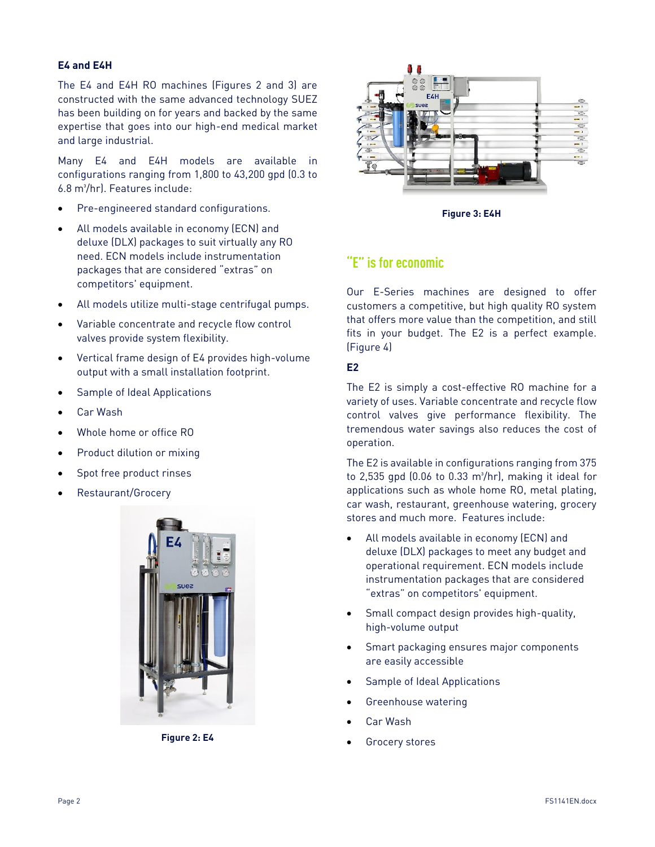#### **E4 and E4H**

The E4 and E4H RO machines (Figures 2 and 3) are constructed with the same advanced technology SUEZ has been building on for years and backed by the same expertise that goes into our high-end medical market and large industrial.

Many E4 and E4H models are available in configurations ranging from 1,800 to 43,200 gpd (0.3 to 6.8 m<sup>3</sup>/hr). Features include:

- Pre-engineered standard configurations.
- All models available in economy (ECN) and deluxe (DLX) packages to suit virtually any RO need. ECN models include instrumentation packages that are considered "extras" on competitors' equipment.
- All models utilize multi-stage centrifugal pumps.
- Variable concentrate and recycle flow control valves provide system flexibility.
- Vertical frame design of E4 provides high-volume output with a small installation footprint.
- Sample of Ideal Applications
- Car Wash
- Whole home or office RO
- Product dilution or mixing
- Spot free product rinses
- Restaurant/Grocery



**Figure 2: E4**



**Figure 3: E4H**

## **"E" is for economic**

Our E-Series machines are designed to offer customers a competitive, but high quality RO system that offers more value than the competition, and still fits in your budget. The E2 is a perfect example. (Figure 4)

#### **E2**

The E2 is simply a cost-effective RO machine for a variety of uses. Variable concentrate and recycle flow control valves give performance flexibility. The tremendous water savings also reduces the cost of operation.

The E2 is available in configurations ranging from 375 to 2,535 gpd  $(0.06 \text{ to } 0.33 \text{ m}^3/\text{hr})$ , making it ideal for applications such as whole home RO, metal plating, car wash, restaurant, greenhouse watering, grocery stores and much more. Features include:

- All models available in economy (ECN) and deluxe (DLX) packages to meet any budget and operational requirement. ECN models include instrumentation packages that are considered "extras" on competitors' equipment.
- Small compact design provides high-quality, high-volume output
- Smart packaging ensures major components are easily accessible
- Sample of Ideal Applications
- Greenhouse watering
- Car Wash
- Grocery stores